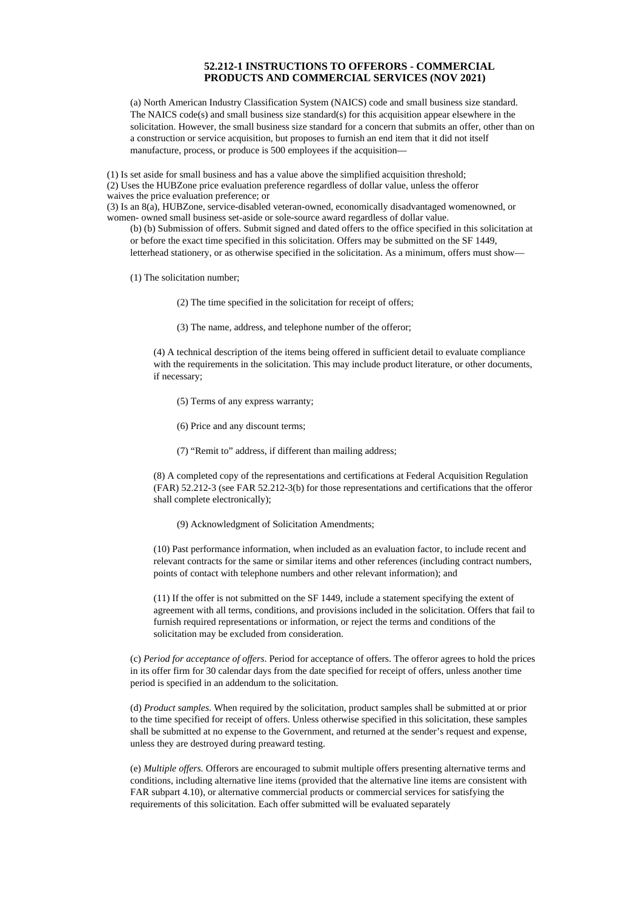## **52.212-1 INSTRUCTIONS TO OFFERORS - COMMERCIAL PRODUCTS AND COMMERCIAL SERVICES (NOV 2021)**

(a) North American Industry Classification System (NAICS) code and small business size standard. The NAICS code $(s)$  and small business size standard $(s)$  for this acquisition appear elsewhere in the solicitation. However, the small business size standard for a concern that submits an offer, other than on a construction or service acquisition, but proposes to furnish an end item that it did not itself manufacture, process, or produce is 500 employees if the acquisition—

(1) Is set aside for small business and has a value above the simplified acquisition threshold; (2) Uses the HUBZone price evaluation preference regardless of dollar value, unless the offeror waives the price evaluation preference; or

(3) Is an 8(a), HUBZone, service-disabled veteran-owned, economically disadvantaged womenowned, or women- owned small business set-aside or sole-source award regardless of dollar value.

(b) (b) Submission of offers. Submit signed and dated offers to the office specified in this solicitation at or before the exact time specified in this solicitation. Offers may be submitted on the SF 1449, letterhead stationery, or as otherwise specified in the solicitation. As a minimum, offers must show—

(1) The solicitation number;

(2) The time specified in the solicitation for receipt of offers;

(3) The name, address, and telephone number of the offeror;

(4) A technical description of the items being offered in sufficient detail to evaluate compliance with the requirements in the solicitation. This may include product literature, or other documents, if necessary;

- (5) Terms of any express warranty;
- (6) Price and any discount terms;
- (7) "Remit to" address, if different than mailing address;

(8) A completed copy of the representations and certifications at Federal Acquisition Regulation (FAR) 52.212-3 (see FAR 52.212-3(b) for those representations and certifications that the offeror shall complete electronically);

(9) Acknowledgment of Solicitation Amendments;

(10) Past performance information, when included as an evaluation factor, to include recent and relevant contracts for the same or similar items and other references (including contract numbers, points of contact with telephone numbers and other relevant information); and

(11) If the offer is not submitted on the SF 1449, include a statement specifying the extent of agreement with all terms, conditions, and provisions included in the solicitation. Offers that fail to furnish required representations or information, or reject the terms and conditions of the solicitation may be excluded from consideration.

(c) *Period for acceptance of offers*. Period for acceptance of offers. The offeror agrees to hold the prices in its offer firm for 30 calendar days from the date specified for receipt of offers, unless another time period is specified in an addendum to the solicitation.

(d) *Product samples.* When required by the solicitation, product samples shall be submitted at or prior to the time specified for receipt of offers. Unless otherwise specified in this solicitation, these samples shall be submitted at no expense to the Government, and returned at the sender's request and expense, unless they are destroyed during preaward testing.

(e) *Multiple offers.* Offerors are encouraged to submit multiple offers presenting alternative terms and conditions, including alternative line items (provided that the alternative line items are consistent with FAR subpart 4.10), or alternative commercial products or commercial services for satisfying the requirements of this solicitation. Each offer submitted will be evaluated separately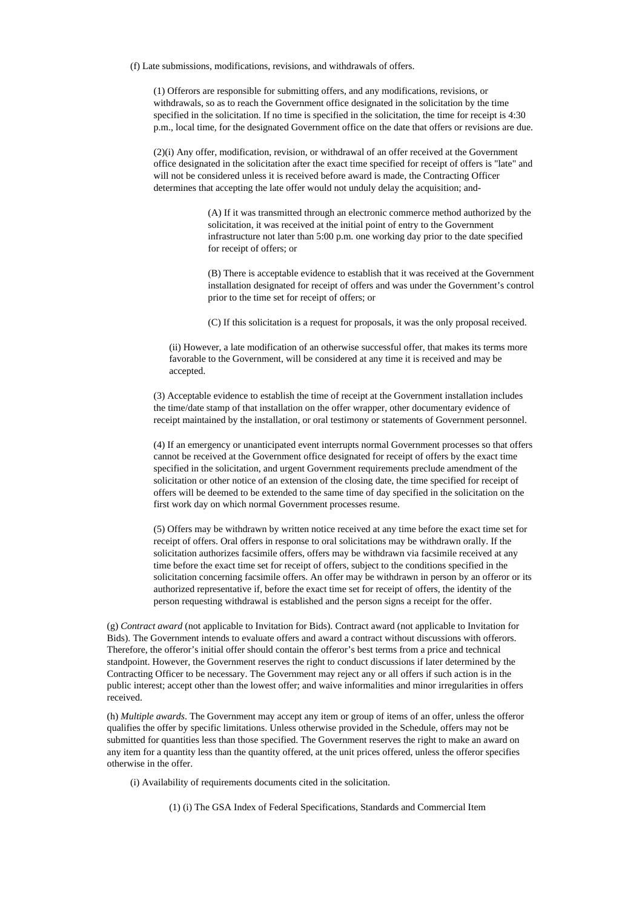(f) Late submissions, modifications, revisions, and withdrawals of offers.

(1) Offerors are responsible for submitting offers, and any modifications, revisions, or withdrawals, so as to reach the Government office designated in the solicitation by the time specified in the solicitation. If no time is specified in the solicitation, the time for receipt is 4:30 p.m., local time, for the designated Government office on the date that offers or revisions are due.

(2)(i) Any offer, modification, revision, or withdrawal of an offer received at the Government office designated in the solicitation after the exact time specified for receipt of offers is "late" and will not be considered unless it is received before award is made, the Contracting Officer determines that accepting the late offer would not unduly delay the acquisition; and-

> (A) If it was transmitted through an electronic commerce method authorized by the solicitation, it was received at the initial point of entry to the Government infrastructure not later than 5:00 p.m. one working day prior to the date specified for receipt of offers; or

(B) There is acceptable evidence to establish that it was received at the Government installation designated for receipt of offers and was under the Government's control prior to the time set for receipt of offers; or

(C) If this solicitation is a request for proposals, it was the only proposal received.

(ii) However, a late modification of an otherwise successful offer, that makes its terms more favorable to the Government, will be considered at any time it is received and may be accepted.

(3) Acceptable evidence to establish the time of receipt at the Government installation includes the time/date stamp of that installation on the offer wrapper, other documentary evidence of receipt maintained by the installation, or oral testimony or statements of Government personnel.

(4) If an emergency or unanticipated event interrupts normal Government processes so that offers cannot be received at the Government office designated for receipt of offers by the exact time specified in the solicitation, and urgent Government requirements preclude amendment of the solicitation or other notice of an extension of the closing date, the time specified for receipt of offers will be deemed to be extended to the same time of day specified in the solicitation on the first work day on which normal Government processes resume.

(5) Offers may be withdrawn by written notice received at any time before the exact time set for receipt of offers. Oral offers in response to oral solicitations may be withdrawn orally. If the solicitation authorizes facsimile offers, offers may be withdrawn via facsimile received at any time before the exact time set for receipt of offers, subject to the conditions specified in the solicitation concerning facsimile offers. An offer may be withdrawn in person by an offeror or its authorized representative if, before the exact time set for receipt of offers, the identity of the person requesting withdrawal is established and the person signs a receipt for the offer.

(g) *Contract award* (not applicable to Invitation for Bids). Contract award (not applicable to Invitation for Bids). The Government intends to evaluate offers and award a contract without discussions with offerors. Therefore, the offeror's initial offer should contain the offeror's best terms from a price and technical standpoint. However, the Government reserves the right to conduct discussions if later determined by the Contracting Officer to be necessary. The Government may reject any or all offers if such action is in the public interest; accept other than the lowest offer; and waive informalities and minor irregularities in offers received.

(h) *Multiple awards*. The Government may accept any item or group of items of an offer, unless the offeror qualifies the offer by specific limitations. Unless otherwise provided in the Schedule, offers may not be submitted for quantities less than those specified. The Government reserves the right to make an award on any item for a quantity less than the quantity offered, at the unit prices offered, unless the offeror specifies otherwise in the offer.

(i) Availability of requirements documents cited in the solicitation.

(1) (i) The GSA Index of Federal Specifications, Standards and Commercial Item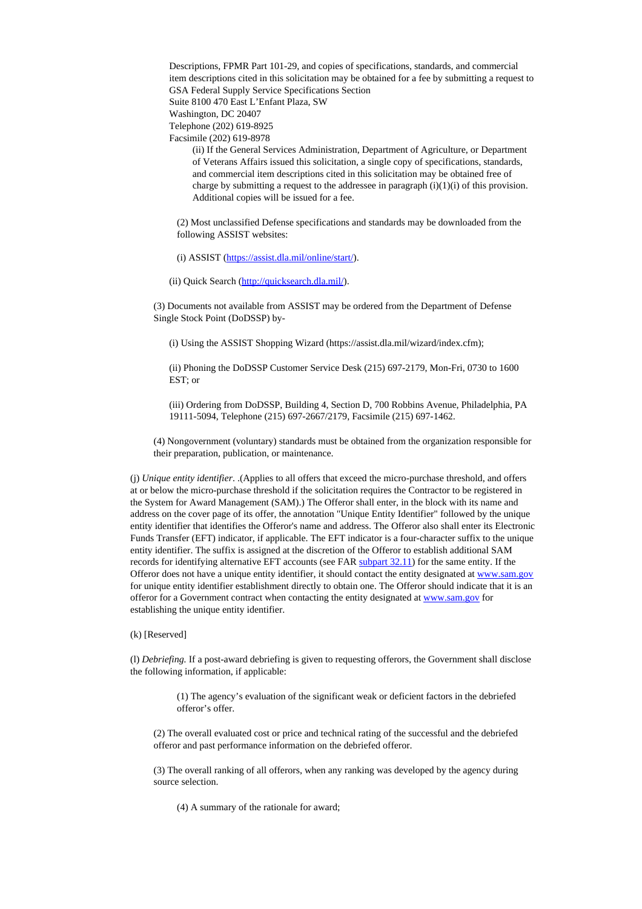Descriptions, FPMR Part 101-29, and copies of specifications, standards, and commercial item descriptions cited in this solicitation may be obtained for a fee by submitting a request to GSA Federal Supply Service Specifications Section Suite 8100 470 East L'Enfant Plaza, SW Washington, DC 20407

Telephone (202) 619-8925

Facsimile (202) 619-8978

(ii) If the General Services Administration, Department of Agriculture, or Department of Veterans Affairs issued this solicitation, a single copy of specifications, standards, and commercial item descriptions cited in this solicitation may be obtained free of charge by submitting a request to the addressee in paragraph  $(i)(1)(i)$  of this provision. Additional copies will be issued for a fee.

(2) Most unclassified Defense specifications and standards may be downloaded from the following ASSIST websites:

(i) ASSIST [\(https://assist.dla.mil/online/start/\)](https://assist.dla.mil/online/start/).

(ii) Quick Search [\(http://quicksearch.dla.mil/\)](http://quicksearch.dla.mil/).

(3) Documents not available from ASSIST may be ordered from the Department of Defense Single Stock Point (DoDSSP) by-

(i) Using the ASSIST Shopping Wizard (https://assist.dla.mil/wizard/index.cfm);

(ii) Phoning the DoDSSP Customer Service Desk (215) 697-2179, Mon-Fri, 0730 to 1600 EST; or

(iii) Ordering from DoDSSP, Building 4, Section D, 700 Robbins Avenue, Philadelphia, PA 19111-5094, Telephone (215) 697-2667/2179, Facsimile (215) 697-1462.

(4) Nongovernment (voluntary) standards must be obtained from the organization responsible for their preparation, publication, or maintenance.

(j) *Unique entity identifier*. .(Applies to all offers that exceed the micro-purchase threshold, and offers at or below the micro-purchase threshold if the solicitation requires the Contractor to be registered in the System for Award Management (SAM).) The Offeror shall enter, in the block with its name and address on the cover page of its offer, the annotation "Unique Entity Identifier" followed by the unique entity identifier that identifies the Offeror's name and address. The Offeror also shall enter its Electronic Funds Transfer (EFT) indicator, if applicable. The EFT indicator is a four-character suffix to the unique entity identifier. The suffix is assigned at the discretion of the Offeror to establish additional SAM records for identifying alternative EFT accounts (see FAR [subpart](https://www.acquisition.gov/far/subpart-32.11#FAR_Subpart_32_11) 32.11) for the same entity. If the Offeror does not have a unique entity identifier, it should contact the entity designated at [www.sam.gov](file:///C:/Users/NicolePapanier/Downloads/www.sam.gov) for unique entity identifier establishment directly to obtain one. The Offeror should indicate that it is an offeror for a Government contract when contacting the entity designated at [www.sam.gov](file:///C:/Users/NicolePapanier/Downloads/www.sam.gov) for establishing the unique entity identifier.

(k) [Reserved]

(l) *Debriefing.* If a post-award debriefing is given to requesting offerors, the Government shall disclose the following information, if applicable:

> (1) The agency's evaluation of the significant weak or deficient factors in the debriefed offeror's offer.

(2) The overall evaluated cost or price and technical rating of the successful and the debriefed offeror and past performance information on the debriefed offeror.

(3) The overall ranking of all offerors, when any ranking was developed by the agency during source selection.

(4) A summary of the rationale for award;